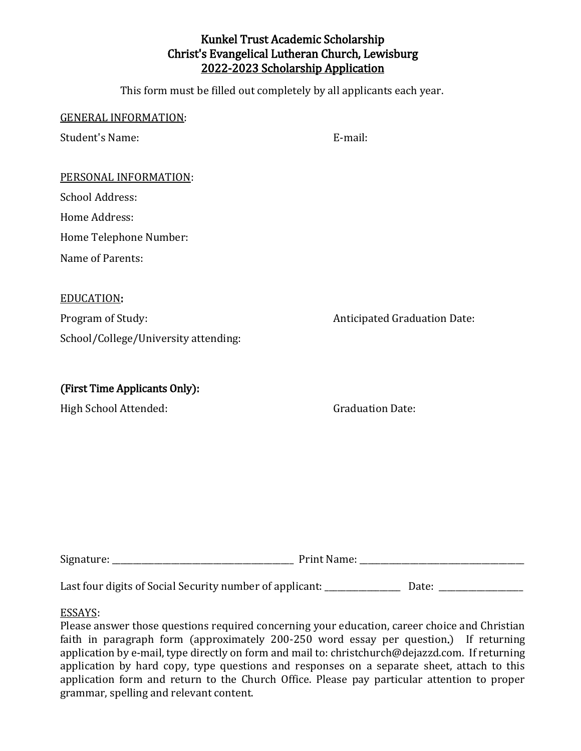# Kunkel Trust Academic Scholarship Christ's Evangelical Lutheran Church, Lewisburg 2022-2023 Scholarship Application

This form must be filled out completely by all applicants each year.

| <b>GENERAL INFORMATION:</b>          |                                     |
|--------------------------------------|-------------------------------------|
| <b>Student's Name:</b>               | E-mail:                             |
|                                      |                                     |
| PERSONAL INFORMATION:                |                                     |
| <b>School Address:</b>               |                                     |
| Home Address:                        |                                     |
| Home Telephone Number:               |                                     |
| Name of Parents:                     |                                     |
|                                      |                                     |
| <b>EDUCATION:</b>                    |                                     |
| Program of Study:                    | <b>Anticipated Graduation Date:</b> |
| School/College/University attending: |                                     |
|                                      |                                     |
| (First Time Applicants Only):        |                                     |
| High School Attended:                | <b>Graduation Date:</b>             |

| $\sim$<br>Signature: | Print.<br>wami<br>______ |
|----------------------|--------------------------|
|                      |                          |

Last four digits of Social Security number of applicant: Date: Date: Date: Date:

#### ESSAYS:

Please answer those questions required concerning your education, career choice and Christian faith in paragraph form (approximately 200-250 word essay per question.) If returning application by e-mail, type directly on form and [mail to: christchurch@dejazzd.com.](mailto:Christchurch@dejazzd.com) If returning application by hard copy, type questions and responses on a separate sheet, attach to this application form and return to the Church Office. Please pay particular attention to proper grammar, spelling and relevant content.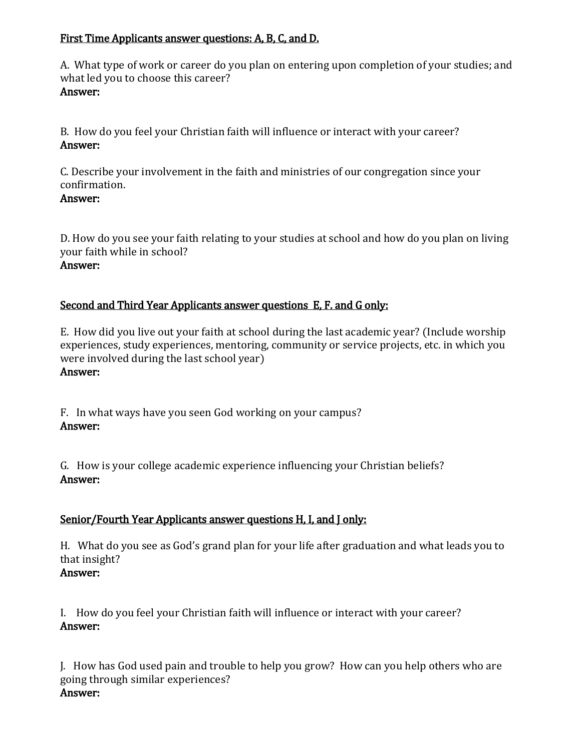#### First Time Applicants answer questions: A, B, C, and D.

A. What type of work or career do you plan on entering upon completion of your studies; and what led you to choose this career?

#### Answer:

B. How do you feel your Christian faith will influence or interact with your career? Answer:

C. Describe your involvement in the faith and ministries of our congregation since your confirmation.

# Answer:

D. How do you see your faith relating to your studies at school and how do you plan on living your faith while in school? Answer:

## Second and Third Year Applicants answer questions E, F. and G only:

E. How did you live out your faith at school during the last academic year? (Include worship experiences, study experiences, mentoring, community or service projects, etc. in which you were involved during the last school year)

#### Answer:

F. In what ways have you seen God working on your campus? Answer:

G. How is your college academic experience influencing your Christian beliefs? Answer:

# Senior/Fourth Year Applicants answer questions H, I, and J only:

H. What do you see as God's grand plan for your life after graduation and what leads you to that insight? Answer:

I. How do you feel your Christian faith will influence or interact with your career? Answer:

J. How has God used pain and trouble to help you grow? How can you help others who are going through similar experiences? Answer: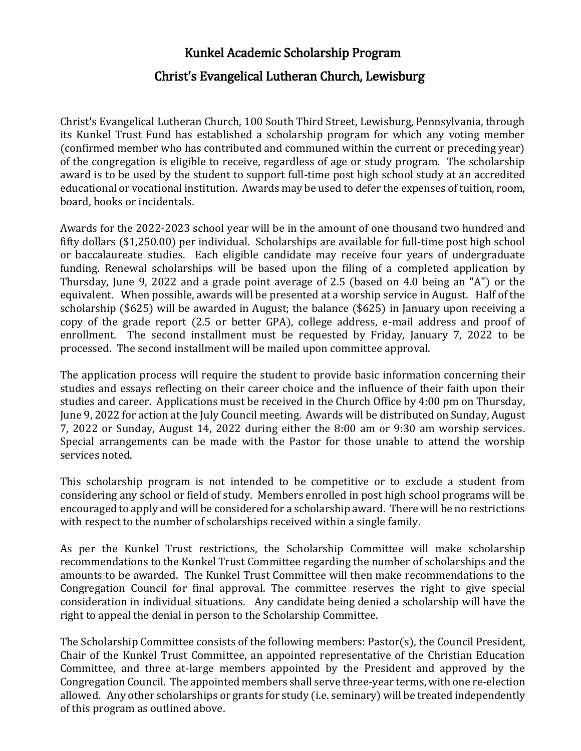# Kunkel Academic Scholarship Program Christ's Evangelical Lutheran Church, Lewisburg

Christ's Evangelical Lutheran Church, 100 South Third Street, Lewisburg, Pennsylvania, through its Kunkel Trust Fund has established a scholarship program for which any voting member (confirmed member who has contributed and communed within the current or preceding year) of the congregation is eligible to receive, regardless of age or study program. The scholarship award is to be used by the student to support full-time post high school study at an accredited educational or vocational institution. Awards may be used to defer the expenses of tuition, room, board, books or incidentals.

Awards for the 2022-2023 school year will be in the amount of one thousand two hundred and fifty dollars (\$1,250.00) per individual. Scholarships are available for full-time post high school or baccalaureate studies. Each eligible candidate may receive four years of undergraduate funding. Renewal scholarships will be based upon the filing of a completed application by Thursday, June 9, 2022 and a grade point average of 2.5 (based on 4.0 being an "A") or the equivalent. When possible, awards will be presented at a worship service in August. Half of the scholarship (\$625) will be awarded in August; the balance (\$625) in January upon receiving a copy of the grade report (2.5 or better GPA), college address, e-mail address and proof of enrollment. The second installment must be requested by Friday, January 7, 2022 to be processed. The second installment will be mailed upon committee approval.

The application process will require the student to provide basic information concerning their studies and essays reflecting on their career choice and the influence of their faith upon their studies and career. Applications must be received in the Church Office by 4:00 pm on Thursday, June 9, 2022 for action at the July Council meeting. Awards will be distributed on Sunday, August 7, 2022 or Sunday, August 14, 2022 during either the 8:00 am or 9:30 am worship services. Special arrangements can be made with the Pastor for those unable to attend the worship services noted.

This scholarship program is not intended to be competitive or to exclude a student from considering any school or field of study. Members enrolled in post high school programs will be encouraged to apply and will be considered for a scholarship award. There will be no restrictions with respect to the number of scholarships received within a single family.

As per the Kunkel Trust restrictions, the Scholarship Committee will make scholarship recommendations to the Kunkel Trust Committee regarding the number of scholarships and the amounts to be awarded. The Kunkel Trust Committee will then make recommendations to the Congregation Council for final approval. The committee reserves the right to give special consideration in individual situations. Any candidate being denied a scholarship will have the right to appeal the denial in person to the Scholarship Committee.

The Scholarship Committee consists of the following members: Pastor(s), the Council President, Chair of the Kunkel Trust Committee, an appointed representative of the Christian Education Committee, and three at-large members appointed by the President and approved by the Congregation Council. The appointed members shall serve three-year terms, with one re-election allowed. Any other scholarships or grants for study (i.e. seminary) will be treated independently of this program as outlined above.